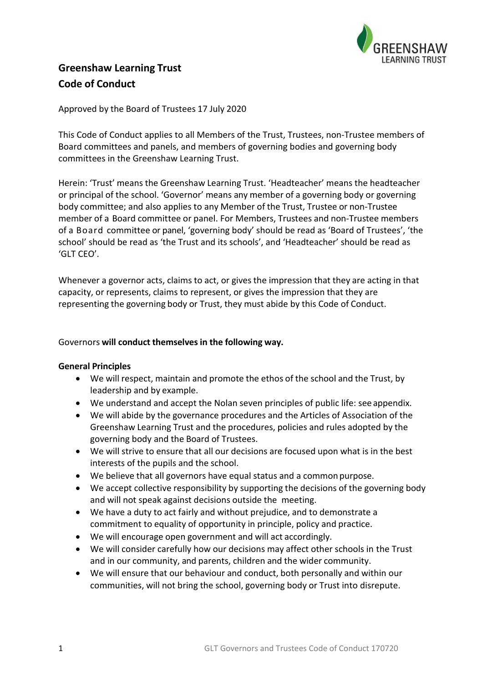

# **Greenshaw Learning Trust Code of Conduct**

# Approved by the Board of Trustees 17 July 2020

This Code of Conduct applies to all Members of the Trust, Trustees, non-Trustee members of Board committees and panels, and members of governing bodies and governing body committees in the Greenshaw Learning Trust.

Herein: 'Trust' means the Greenshaw Learning Trust. 'Headteacher' means the headteacher or principal of the school. 'Governor' means any member of a governing body or governing body committee; and also applies to any Member of the Trust, Trustee or non-Trustee member of a Board committee or panel. For Members, Trustees and non-Trustee members of a Board committee or panel, 'governing body' should be read as 'Board of Trustees', 'the school' should be read as 'the Trust and its schools', and 'Headteacher' should be read as 'GLT CEO'.

Whenever a governor acts, claims to act, or gives the impression that they are acting in that capacity, or represents, claims to represent, or gives the impression that they are representing the governing body or Trust, they must abide by this Code of Conduct.

## Governors **will conduct themselves in the following way.**

## **General Principles**

- We will respect, maintain and promote the ethos of the school and the Trust, by leadership and by example.
- We understand and accept the Nolan seven principles of public life: see appendix.
- We will abide by the governance procedures and the Articles of Association of the Greenshaw Learning Trust and the procedures, policies and rules adopted by the governing body and the Board of Trustees.
- We will strive to ensure that all our decisions are focused upon what is in the best interests of the pupils and the school.
- We believe that all governors have equal status and a common purpose.
- We accept collective responsibility by supporting the decisions of the governing body and will not speak against decisions outside the meeting.
- We have a duty to act fairly and without prejudice, and to demonstrate a commitment to equality of opportunity in principle, policy and practice.
- We will encourage open government and will act accordingly.
- We will consider carefully how our decisions may affect other schools in the Trust and in our community, and parents, children and the wider community.
- We will ensure that our behaviour and conduct, both personally and within our communities, will not bring the school, governing body or Trust into disrepute.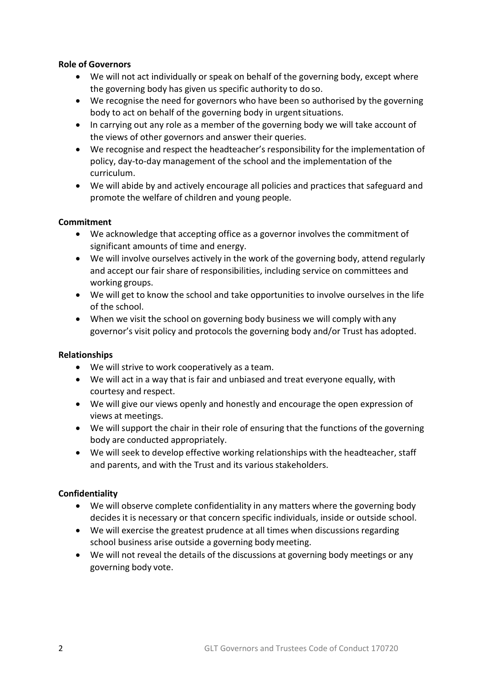# **Role of Governors**

- We will not act individually or speak on behalf of the governing body, except where the governing body has given us specific authority to do so.
- We recognise the need for governors who have been so authorised by the governing body to act on behalf of the governing body in urgent situations.
- In carrying out any role as a member of the governing body we will take account of the views of other governors and answer their queries.
- We recognise and respect the headteacher's responsibility for the implementation of policy, day-to-day management of the school and the implementation of the curriculum.
- We will abide by and actively encourage all policies and practices that safeguard and promote the welfare of children and young people.

# **Commitment**

- We acknowledge that accepting office as a governor involves the commitment of significant amounts of time and energy.
- We will involve ourselves actively in the work of the governing body, attend regularly and accept our fair share of responsibilities, including service on committees and working groups.
- We will get to know the school and take opportunities to involve ourselves in the life of the school.
- When we visit the school on governing body business we will comply with any governor's visit policy and protocols the governing body and/or Trust has adopted.

## **Relationships**

- We will strive to work cooperatively as a team.
- We will act in a way that is fair and unbiased and treat everyone equally, with courtesy and respect.
- We will give our views openly and honestly and encourage the open expression of views at meetings.
- We will support the chair in their role of ensuring that the functions of the governing body are conducted appropriately.
- We will seek to develop effective working relationships with the headteacher, staff and parents, and with the Trust and its various stakeholders.

# **Confidentiality**

- We will observe complete confidentiality in any matters where the governing body decides it is necessary or that concern specific individuals, inside or outside school.
- We will exercise the greatest prudence at all times when discussions regarding school business arise outside a governing body meeting.
- We will not reveal the details of the discussions at governing body meetings or any governing body vote.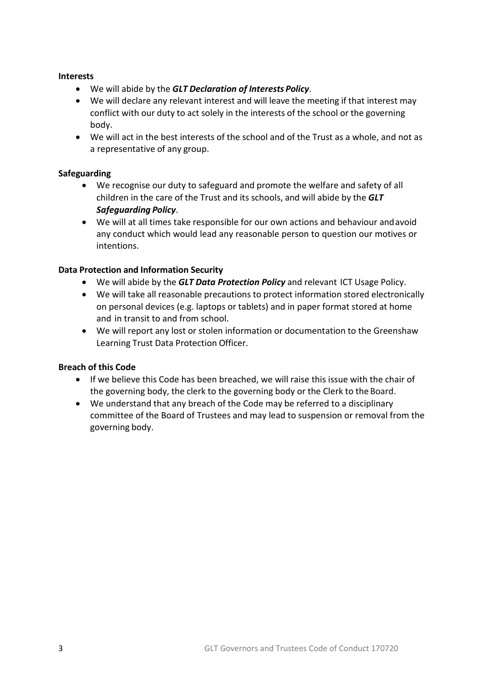## **Interests**

- We will abide by the *GLT Declaration of Interests Policy*.
- We will declare any relevant interest and will leave the meeting if that interest may conflict with our duty to act solely in the interests of the school or the governing body.
- We will act in the best interests of the school and of the Trust as a whole, and not as a representative of any group.

# **Safeguarding**

- We recognise our duty to safeguard and promote the welfare and safety of all children in the care of the Trust and its schools, and will abide by the *GLT Safeguarding Policy*.
- We will at all times take responsible for our own actions and behaviour andavoid any conduct which would lead any reasonable person to question our motives or intentions.

# **Data Protection and Information Security**

- We will abide by the *GLT Data Protection Policy* and relevant ICT Usage Policy.
- We will take all reasonable precautions to protect information stored electronically on personal devices (e.g. laptops or tablets) and in paper format stored at home and in transit to and from school.
- We will report any lost or stolen information or documentation to the Greenshaw Learning Trust Data Protection Officer.

# **Breach of this Code**

- If we believe this Code has been breached, we will raise this issue with the chair of the governing body, the clerk to the governing body or the Clerk to the Board.
- We understand that any breach of the Code may be referred to a disciplinary committee of the Board of Trustees and may lead to suspension or removal from the governing body.